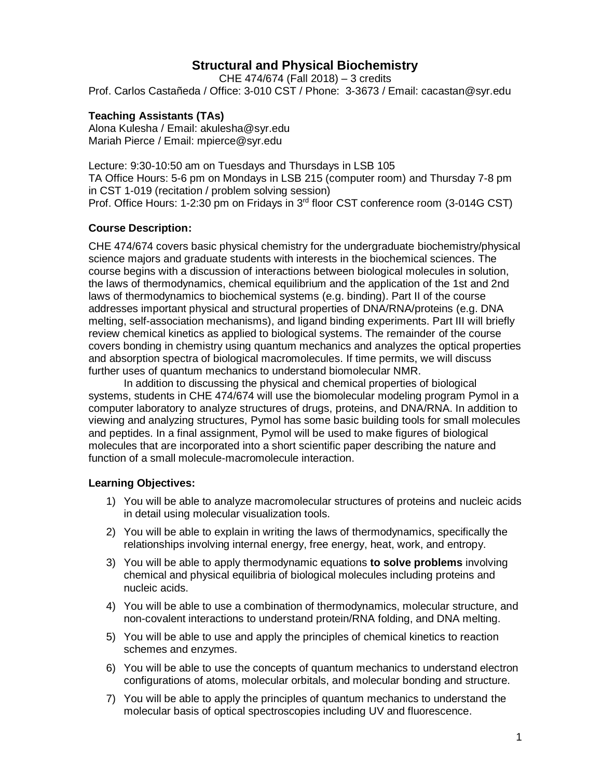# **Structural and Physical Biochemistry**

CHE 474/674 (Fall 2018) – 3 credits Prof. Carlos Castañeda / Office: 3-010 CST / Phone: 3-3673 / Email: cacastan@syr.edu

## **Teaching Assistants (TAs)**

Alona Kulesha / Email: akulesha@syr.edu Mariah Pierce / Email: mpierce@syr.edu

Lecture: 9:30-10:50 am on Tuesdays and Thursdays in LSB 105 TA Office Hours: 5-6 pm on Mondays in LSB 215 (computer room) and Thursday 7-8 pm in CST 1-019 (recitation / problem solving session) Prof. Office Hours: 1-2:30 pm on Fridays in 3rd floor CST conference room (3-014G CST)

# **Course Description:**

CHE 474/674 covers basic physical chemistry for the undergraduate biochemistry/physical science majors and graduate students with interests in the biochemical sciences. The course begins with a discussion of interactions between biological molecules in solution, the laws of thermodynamics, chemical equilibrium and the application of the 1st and 2nd laws of thermodynamics to biochemical systems (e.g. binding). Part II of the course addresses important physical and structural properties of DNA/RNA/proteins (e.g. DNA melting, self-association mechanisms), and ligand binding experiments. Part III will briefly review chemical kinetics as applied to biological systems. The remainder of the course covers bonding in chemistry using quantum mechanics and analyzes the optical properties and absorption spectra of biological macromolecules. If time permits, we will discuss further uses of quantum mechanics to understand biomolecular NMR.

In addition to discussing the physical and chemical properties of biological systems, students in CHE 474/674 will use the biomolecular modeling program Pymol in a computer laboratory to analyze structures of drugs, proteins, and DNA/RNA. In addition to viewing and analyzing structures, Pymol has some basic building tools for small molecules and peptides. In a final assignment, Pymol will be used to make figures of biological molecules that are incorporated into a short scientific paper describing the nature and function of a small molecule-macromolecule interaction.

## **Learning Objectives:**

- 1) You will be able to analyze macromolecular structures of proteins and nucleic acids in detail using molecular visualization tools.
- 2) You will be able to explain in writing the laws of thermodynamics, specifically the relationships involving internal energy, free energy, heat, work, and entropy.
- 3) You will be able to apply thermodynamic equations **to solve problems** involving chemical and physical equilibria of biological molecules including proteins and nucleic acids.
- 4) You will be able to use a combination of thermodynamics, molecular structure, and non-covalent interactions to understand protein/RNA folding, and DNA melting.
- 5) You will be able to use and apply the principles of chemical kinetics to reaction schemes and enzymes.
- 6) You will be able to use the concepts of quantum mechanics to understand electron configurations of atoms, molecular orbitals, and molecular bonding and structure.
- 7) You will be able to apply the principles of quantum mechanics to understand the molecular basis of optical spectroscopies including UV and fluorescence.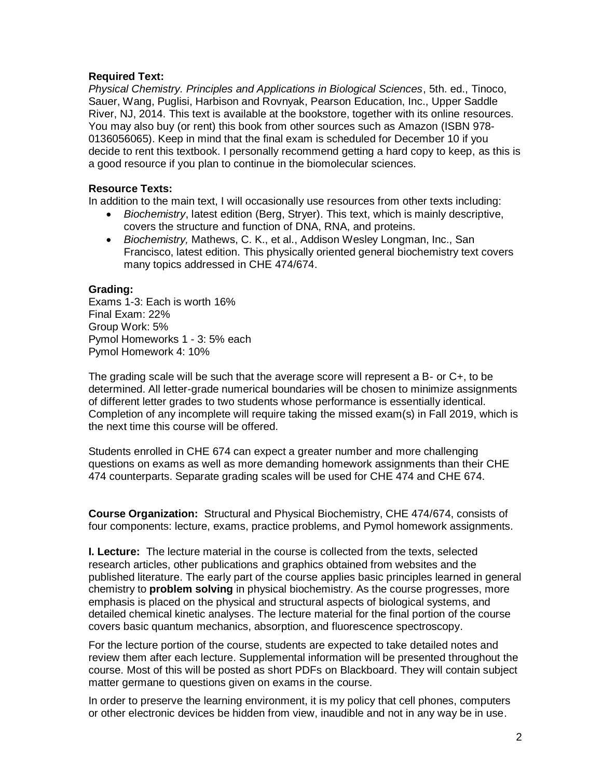#### **Required Text:**

*Physical Chemistry. Principles and Applications in Biological Sciences*, 5th. ed., Tinoco, Sauer, Wang, Puglisi, Harbison and Rovnyak, Pearson Education, Inc., Upper Saddle River, NJ, 2014. This text is available at the bookstore, together with its online resources. You may also buy (or rent) this book from other sources such as Amazon (ISBN 978- 0136056065). Keep in mind that the final exam is scheduled for December 10 if you decide to rent this textbook. I personally recommend getting a hard copy to keep, as this is a good resource if you plan to continue in the biomolecular sciences.

#### **Resource Texts:**

In addition to the main text, I will occasionally use resources from other texts including:

- *Biochemistry*, latest edition (Berg, Stryer). This text, which is mainly descriptive, covers the structure and function of DNA, RNA, and proteins.
- *Biochemistry,* Mathews, C. K., et al., Addison Wesley Longman, Inc., San Francisco, latest edition. This physically oriented general biochemistry text covers many topics addressed in CHE 474/674.

#### **Grading:**

Exams 1-3: Each is worth 16% Final Exam: 22% Group Work: 5% Pymol Homeworks 1 - 3: 5% each Pymol Homework 4: 10%

The grading scale will be such that the average score will represent a B- or C+, to be determined. All letter-grade numerical boundaries will be chosen to minimize assignments of different letter grades to two students whose performance is essentially identical. Completion of any incomplete will require taking the missed exam(s) in Fall 2019, which is the next time this course will be offered.

Students enrolled in CHE 674 can expect a greater number and more challenging questions on exams as well as more demanding homework assignments than their CHE 474 counterparts. Separate grading scales will be used for CHE 474 and CHE 674.

**Course Organization:** Structural and Physical Biochemistry, CHE 474/674, consists of four components: lecture, exams, practice problems, and Pymol homework assignments.

**I. Lecture:** The lecture material in the course is collected from the texts, selected research articles, other publications and graphics obtained from websites and the published literature. The early part of the course applies basic principles learned in general chemistry to **problem solving** in physical biochemistry. As the course progresses, more emphasis is placed on the physical and structural aspects of biological systems, and detailed chemical kinetic analyses. The lecture material for the final portion of the course covers basic quantum mechanics, absorption, and fluorescence spectroscopy.

For the lecture portion of the course, students are expected to take detailed notes and review them after each lecture. Supplemental information will be presented throughout the course. Most of this will be posted as short PDFs on Blackboard. They will contain subject matter germane to questions given on exams in the course.

In order to preserve the learning environment, it is my policy that cell phones, computers or other electronic devices be hidden from view, inaudible and not in any way be in use.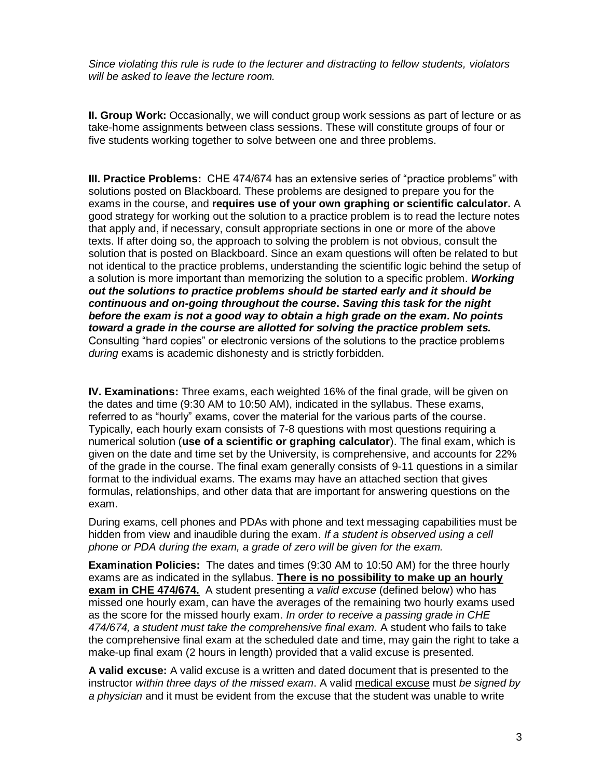*Since violating this rule is rude to the lecturer and distracting to fellow students, violators will be asked to leave the lecture room.*

**II. Group Work:** Occasionally, we will conduct group work sessions as part of lecture or as take-home assignments between class sessions. These will constitute groups of four or five students working together to solve between one and three problems.

**III. Practice Problems:** CHE 474/674 has an extensive series of "practice problems" with solutions posted on Blackboard. These problems are designed to prepare you for the exams in the course, and **requires use of your own graphing or scientific calculator.** A good strategy for working out the solution to a practice problem is to read the lecture notes that apply and, if necessary, consult appropriate sections in one or more of the above texts. If after doing so, the approach to solving the problem is not obvious, consult the solution that is posted on Blackboard. Since an exam questions will often be related to but not identical to the practice problems, understanding the scientific logic behind the setup of a solution is more important than memorizing the solution to a specific problem. *Working out the solutions to practice problems should be started early and it should be continuous and on-going throughout the course***.** *Saving this task for the night before the exam is not a good way to obtain a high grade on the exam. No points toward a grade in the course are allotted for solving the practice problem sets.* Consulting "hard copies" or electronic versions of the solutions to the practice problems *during* exams is academic dishonesty and is strictly forbidden.

**IV. Examinations:** Three exams, each weighted 16% of the final grade, will be given on the dates and time (9:30 AM to 10:50 AM), indicated in the syllabus. These exams, referred to as "hourly" exams, cover the material for the various parts of the course. Typically, each hourly exam consists of 7-8 questions with most questions requiring a numerical solution (**use of a scientific or graphing calculator**). The final exam, which is given on the date and time set by the University, is comprehensive, and accounts for 22% of the grade in the course. The final exam generally consists of 9-11 questions in a similar format to the individual exams. The exams may have an attached section that gives formulas, relationships, and other data that are important for answering questions on the exam.

During exams, cell phones and PDAs with phone and text messaging capabilities must be hidden from view and inaudible during the exam. *If a student is observed using a cell phone or PDA during the exam, a grade of zero will be given for the exam.*

**Examination Policies:** The dates and times (9:30 AM to 10:50 AM) for the three hourly exams are as indicated in the syllabus. **There is no possibility to make up an hourly exam in CHE 474/674.** A student presenting a *valid excuse* (defined below) who has missed one hourly exam, can have the averages of the remaining two hourly exams used as the score for the missed hourly exam. *In order to receive a passing grade in CHE 474/674, a student must take the comprehensive final exam.* A student who fails to take the comprehensive final exam at the scheduled date and time, may gain the right to take a make-up final exam (2 hours in length) provided that a valid excuse is presented.

**A valid excuse:** A valid excuse is a written and dated document that is presented to the instructor *within three days of the missed exam*. A valid medical excuse must *be signed by a physician* and it must be evident from the excuse that the student was unable to write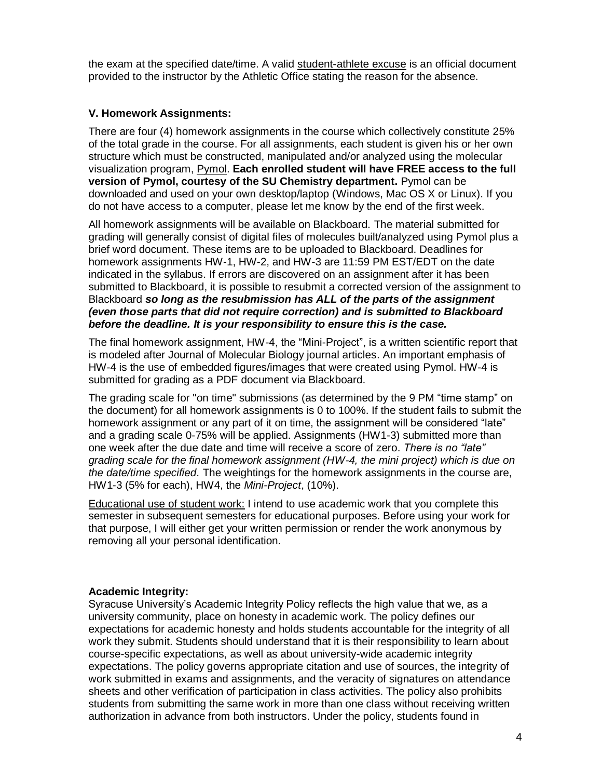the exam at the specified date/time. A valid student-athlete excuse is an official document provided to the instructor by the Athletic Office stating the reason for the absence.

# **V. Homework Assignments:**

There are four (4) homework assignments in the course which collectively constitute 25% of the total grade in the course. For all assignments, each student is given his or her own structure which must be constructed, manipulated and/or analyzed using the molecular visualization program, Pymol. **Each enrolled student will have FREE access to the full version of Pymol, courtesy of the SU Chemistry department.** Pymol can be downloaded and used on your own desktop/laptop (Windows, Mac OS X or Linux). If you do not have access to a computer, please let me know by the end of the first week.

All homework assignments will be available on Blackboard. The material submitted for grading will generally consist of digital files of molecules built/analyzed using Pymol plus a brief word document. These items are to be uploaded to Blackboard. Deadlines for homework assignments HW-1, HW-2, and HW-3 are 11:59 PM EST/EDT on the date indicated in the syllabus. If errors are discovered on an assignment after it has been submitted to Blackboard, it is possible to resubmit a corrected version of the assignment to Blackboard *so long as the resubmission has ALL of the parts of the assignment (even those parts that did not require correction) and is submitted to Blackboard before the deadline. It is your responsibility to ensure this is the case.*

The final homework assignment, HW-4, the "Mini-Project", is a written scientific report that is modeled after Journal of Molecular Biology journal articles. An important emphasis of HW-4 is the use of embedded figures/images that were created using Pymol. HW-4 is submitted for grading as a PDF document via Blackboard.

The grading scale for "on time" submissions (as determined by the 9 PM "time stamp" on the document) for all homework assignments is 0 to 100%. If the student fails to submit the homework assignment or any part of it on time, the assignment will be considered "late" and a grading scale 0-75% will be applied. Assignments (HW1-3) submitted more than one week after the due date and time will receive a score of zero. *There is no "late" grading scale for the final homework assignment (HW-4, the mini project) which is due on the date/time specified*. The weightings for the homework assignments in the course are, HW1-3 (5% for each), HW4, the *Mini-Project*, (10%).

Educational use of student work: I intend to use academic work that you complete this semester in subsequent semesters for educational purposes. Before using your work for that purpose, I will either get your written permission or render the work anonymous by removing all your personal identification.

## **Academic Integrity:**

Syracuse University's Academic Integrity Policy reflects the high value that we, as a university community, place on honesty in academic work. The policy defines our expectations for academic honesty and holds students accountable for the integrity of all work they submit. Students should understand that it is their responsibility to learn about course-specific expectations, as well as about university-wide academic integrity expectations. The policy governs appropriate citation and use of sources, the integrity of work submitted in exams and assignments, and the veracity of signatures on attendance sheets and other verification of participation in class activities. The policy also prohibits students from submitting the same work in more than one class without receiving written authorization in advance from both instructors. Under the policy, students found in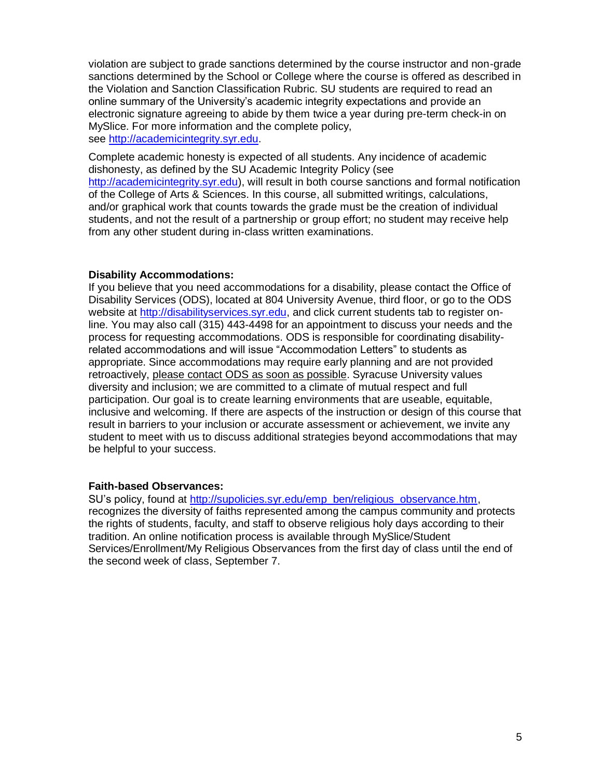violation are subject to grade sanctions determined by the course instructor and non-grade sanctions determined by the School or College where the course is offered as described in the Violation and Sanction Classification Rubric. SU students are required to read an online summary of the University's academic integrity expectations and provide an electronic signature agreeing to abide by them twice a year during pre-term check-in on MySlice. For more information and the complete policy, see [http://academicintegrity.syr.edu.](http://academicintegrity.syr.edu/)

Complete academic honesty is expected of all students. Any incidence of academic dishonesty, as defined by the SU Academic Integrity Policy (see [http://academicintegrity.syr.edu\)](http://academicintegrity.syr.edu/), will result in both course sanctions and formal notification of the College of Arts & Sciences. In this course, all submitted writings, calculations, and/or graphical work that counts towards the grade must be the creation of individual students, and not the result of a partnership or group effort; no student may receive help from any other student during in-class written examinations.

#### **Disability Accommodations:**

If you believe that you need accommodations for a disability, please contact the Office of Disability Services (ODS), located at 804 University Avenue, third floor, or go to the ODS website at [http://disabilityservices.syr.edu,](http://disabilityservices.syr.edu/) and click current students tab to register online. You may also call (315) 443-4498 for an appointment to discuss your needs and the process for requesting accommodations. ODS is responsible for coordinating disabilityrelated accommodations and will issue "Accommodation Letters" to students as appropriate. Since accommodations may require early planning and are not provided retroactively, please contact ODS as soon as possible. Syracuse University values diversity and inclusion; we are committed to a climate of mutual respect and full participation. Our goal is to create learning environments that are useable, equitable, inclusive and welcoming. If there are aspects of the instruction or design of this course that result in barriers to your inclusion or accurate assessment or achievement, we invite any student to meet with us to discuss additional strategies beyond accommodations that may be helpful to your success.

## **Faith-based Observances:**

SU's policy, found at [http://supolicies.syr.edu/emp\\_ben/religious\\_observance.htm,](http://supolicies.syr.edu/emp_ben/religious_observance.htm) recognizes the diversity of faiths represented among the campus community and protects the rights of students, faculty, and staff to observe religious holy days according to their tradition. An online notification process is available through MySlice/Student Services/Enrollment/My Religious Observances from the first day of class until the end of the second week of class, September 7.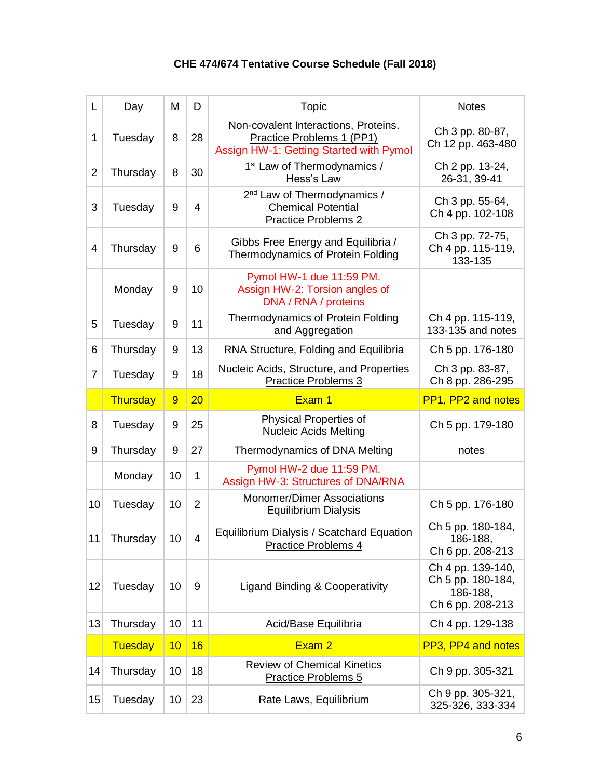# **CHE 474/674 Tentative Course Schedule (Fall 2018)**

| L              | Day      | M               | D              | Topic                                                                                                        | <b>Notes</b>                                                           |
|----------------|----------|-----------------|----------------|--------------------------------------------------------------------------------------------------------------|------------------------------------------------------------------------|
| $\mathbf{1}$   | Tuesday  | 8               | 28             | Non-covalent Interactions, Proteins.<br>Practice Problems 1 (PP1)<br>Assign HW-1: Getting Started with Pymol | Ch 3 pp. 80-87,<br>Ch 12 pp. 463-480                                   |
| $\overline{2}$ | Thursday | 8               | 30             | 1 <sup>st</sup> Law of Thermodynamics /<br>Hess's Law                                                        | Ch 2 pp. 13-24,<br>26-31, 39-41                                        |
| 3              | Tuesday  | 9               | $\overline{4}$ | 2 <sup>nd</sup> Law of Thermodynamics /<br><b>Chemical Potential</b><br><b>Practice Problems 2</b>           | Ch 3 pp. 55-64,<br>Ch 4 pp. 102-108                                    |
| $\overline{4}$ | Thursday | 9               | 6              | Gibbs Free Energy and Equilibria /<br>Thermodynamics of Protein Folding                                      | Ch 3 pp. 72-75,<br>Ch 4 pp. 115-119,<br>133-135                        |
|                | Monday   | 9               | 10             | Pymol HW-1 due 11:59 PM.<br>Assign HW-2: Torsion angles of<br>DNA / RNA / proteins                           |                                                                        |
| 5              | Tuesday  | 9               | 11             | Thermodynamics of Protein Folding<br>and Aggregation                                                         | Ch 4 pp. 115-119,<br>133-135 and notes                                 |
| 6              | Thursday | 9               | 13             | RNA Structure, Folding and Equilibria                                                                        | Ch 5 pp. 176-180                                                       |
| 7              | Tuesday  | 9               | 18             | Nucleic Acids, Structure, and Properties<br><b>Practice Problems 3</b>                                       | Ch 3 pp. 83-87,<br>Ch 8 pp. 286-295                                    |
|                | Thursday | 9               | 20             | Exam 1                                                                                                       | PP1, PP2 and notes                                                     |
| 8              | Tuesday  | 9               | 25             | <b>Physical Properties of</b><br><b>Nucleic Acids Melting</b>                                                | Ch 5 pp. 179-180                                                       |
| 9              | Thursday | 9               | 27             | Thermodynamics of DNA Melting                                                                                | notes                                                                  |
|                | Monday   | 10              | 1              | Pymol HW-2 due 11:59 PM.<br>Assign HW-3: Structures of DNA/RNA                                               |                                                                        |
| 10             | Tuesday  | 10              | $\overline{2}$ | <b>Monomer/Dimer Associations</b><br><b>Equilibrium Dialysis</b>                                             | Ch 5 pp. 176-180                                                       |
| 11             | Thursday | 10 <sup>1</sup> | 4              | Equilibrium Dialysis / Scatchard Equation<br>Practice Problems 4                                             | Ch 5 pp. 180-184,<br>186-188,<br>Ch 6 pp. 208-213                      |
| 12             | Tuesday  | 10              | 9              | Ligand Binding & Cooperativity                                                                               | Ch 4 pp. 139-140,<br>Ch 5 pp. 180-184,<br>186-188,<br>Ch 6 pp. 208-213 |
| 13             | Thursday | 10              | 11             | Acid/Base Equilibria                                                                                         | Ch 4 pp. 129-138                                                       |
|                | Tuesday  | 10              | 16             | Exam 2                                                                                                       | PP3, PP4 and notes                                                     |
| 14             | Thursday | 10              | 18             | <b>Review of Chemical Kinetics</b><br><b>Practice Problems 5</b>                                             | Ch 9 pp. 305-321                                                       |
| 15             | Tuesday  | 10              | 23             | Rate Laws, Equilibrium                                                                                       | Ch 9 pp. 305-321,<br>325-326, 333-334                                  |